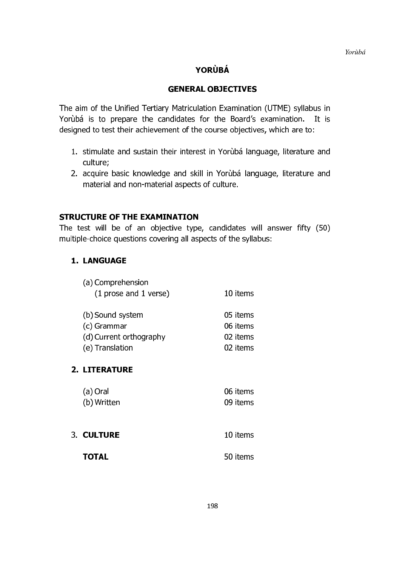# **YORÙBÁ**

## **GENERAL OBJECTIVES**

The aim of the Unified Tertiary Matriculation Examination (UTME) syllabus in Yorùbá is to prepare the candidates for the Board's examination. It is designed to test their achievement of the course objectives, which are to:

- 1. stimulate and sustain their interest in Yoruba language, literature and culture;
- 2. acquire basic knowledge and skill in Yorùbá language, literature and material and non-material aspects of culture.

### **STRUCTURE OF THE EXAMINATION**

The test will be of an objective type, candidates will answer fifty (50) multiple-choice questions covering all aspects of the syllabus:

### **1. LANGUAGE**

| (a) Comprehension                        |          |
|------------------------------------------|----------|
| $(1 \text{ prose and } 1 \text{ verse})$ | 10 items |
|                                          |          |
| (b) Sound system                         | 05 items |
| (c) Grammar                              | 06 items |
| (d) Current orthography                  | 02 items |
| (e) Translation                          | 02 items |
|                                          |          |
|                                          |          |

# 2. LITERATURE

| (a) Oral    | 06 items |
|-------------|----------|
| (b) Written | 09 items |

**3. CULTURE** 10 items **TOTAL** 50 items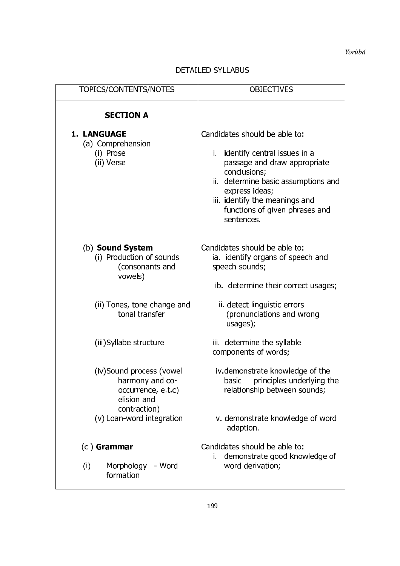# **DETAILED SYLLABUS**

| TOPICS/CONTENTS/NOTES                                                                            | <b>OBJECTIVES</b>                                                                                                                                                                                                                                           |
|--------------------------------------------------------------------------------------------------|-------------------------------------------------------------------------------------------------------------------------------------------------------------------------------------------------------------------------------------------------------------|
| <b>SECTION A</b>                                                                                 |                                                                                                                                                                                                                                                             |
| <b>1. LANGUAGE</b><br>(a) Comprehension<br>(i) Prose<br>(ii) Verse                               | Candidates should be able to:<br>i. identify central issues in a<br>passage and draw appropriate<br>conclusions;<br>ii. determine basic assumptions and<br>express ideas;<br>iii. identify the meanings and<br>functions of given phrases and<br>sentences. |
| (b) Sound System<br>(i) Production of sounds<br>(consonants and<br>vowels)                       | Candidates should be able to:<br>ia. identify organs of speech and<br>speech sounds;<br>ib. determine their correct usages;                                                                                                                                 |
| (ii) Tones, tone change and<br>tonal transfer                                                    | ii. detect linguistic errors<br>(pronunciations and wrong<br>usages);                                                                                                                                                                                       |
| (iii) Syllabe structure                                                                          | iii. determine the syllable<br>components of words;                                                                                                                                                                                                         |
| (iv)Sound process (vowel<br>harmony and co-<br>occurrence, e.t.c)<br>elision and<br>contraction) | iv demonstrate knowledge of the<br>principles underlying the<br>basic<br>relationship between sounds;                                                                                                                                                       |
| (v) Loan-word integration                                                                        | v. demonstrate knowledge of word<br>adaption.                                                                                                                                                                                                               |
| $(c)$ Grammar<br>Morphology - Word<br>(i)<br>formation                                           | Candidates should be able to:<br>i. demonstrate good knowledge of<br>word derivation;                                                                                                                                                                       |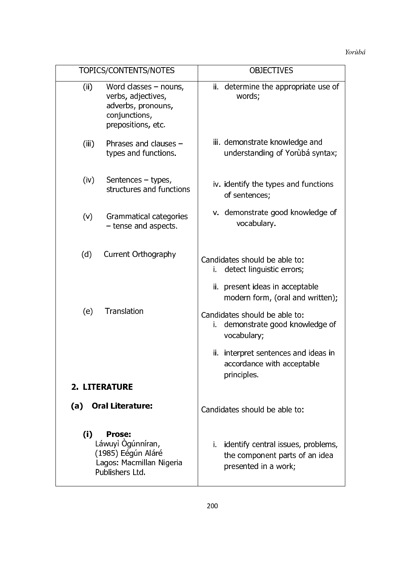| TOPICS/CONTENTS/NOTES                                                                                              | <b>OBJECTIVES</b>                                                                               |
|--------------------------------------------------------------------------------------------------------------------|-------------------------------------------------------------------------------------------------|
| (ii)<br>Word classes $-$ nouns,<br>verbs, adjectives,<br>adverbs, pronouns,<br>conjunctions,<br>prepositions, etc. | ii. determine the appropriate use of<br>words;                                                  |
| Phrases and clauses $-$<br>(iii)<br>types and functions.                                                           | iii. demonstrate knowledge and<br>understanding of Yorùbá syntax;                               |
| (iv)<br>Sentences – types,<br>structures and functions                                                             | iv. identify the types and functions<br>of sentences;                                           |
| (v)<br>Grammatical categories<br>- tense and aspects.                                                              | v. demonstrate good knowledge of<br>vocabulary.                                                 |
| (d)<br>Current Orthography                                                                                         | Candidates should be able to:<br>detect linguistic errors;<br>Ĺ.                                |
|                                                                                                                    | ii. present ideas in acceptable<br>modern form, (oral and written);                             |
| Translation<br>(e)                                                                                                 | Candidates should be able to:<br>demonstrate good knowledge of<br>i.<br>vocabulary;             |
|                                                                                                                    | ii. interpret sentences and ideas in<br>accordance with acceptable<br>principles.               |
| <b>2. LITERATURE</b>                                                                                               |                                                                                                 |
| <b>Oral Literature:</b><br>(a)                                                                                     | Candidates should be able to:                                                                   |
| (i)<br><b>Prose:</b><br>Láwuyì Ògúnníran,<br>(1985) Eégún Aláré<br>Lagos: Macmillan Nigeria<br>Publishers Ltd.     | i. identify central issues, problems,<br>the component parts of an idea<br>presented in a work; |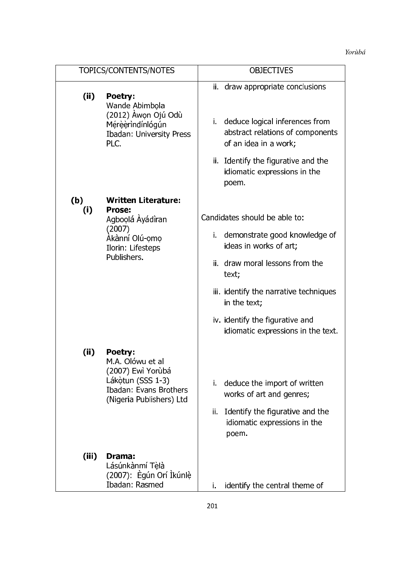|            | TOPICS/CONTENTS/NOTES                                                                                                       | <b>OBJECTIVES</b>                                                                                                                                                                                                                                                          |
|------------|-----------------------------------------------------------------------------------------------------------------------------|----------------------------------------------------------------------------------------------------------------------------------------------------------------------------------------------------------------------------------------------------------------------------|
| (i)        | Poetry:<br>Wande Abimbola<br>(2012) Àwọn Ojú Odù<br>Mérèèrindínlógún<br><b>Ibadan: University Press</b><br>PLC.             | ii. draw appropriate conclusions<br>deduce logical inferences from<br>i.<br>abstract relations of components<br>of an idea in a work;<br>ii. Identify the figurative and the<br>idiomatic expressions in the<br>poem.                                                      |
| (b)<br>(i) | <b>Written Literature:</b><br>Prose:<br>Agboolá Áyádiran<br>(2007)<br>Àkànní Olú-omo<br>Ilorin: Lifesteps<br>Publishers.    | Candidates should be able to:<br>i. demonstrate good knowledge of<br>ideas in works of art;<br>ii. draw moral lessons from the<br>text;<br>iii. identify the narrative techniques<br>in the text;<br>iv. identify the figurative and<br>idiomatic expressions in the text. |
| (ii)       | Poetry:<br>M.A. Olówu et al<br>(2007) Ewì Yorùbá<br>Lákotun (SSS 1-3)<br>Ibadan: Evans Brothers<br>(Nigeria Publishers) Ltd | deduce the import of written<br>i.<br>works of art and genres;<br>Identify the figurative and the<br>ii.<br>idiomatic expressions in the<br>poem.                                                                                                                          |
| (iii)      | Drama:<br>Lásúnkànmí Tèlà<br>(2007): Ègún Orí Ìkúnlè<br>Ibadan: Rasmed                                                      | i.<br>identify the central theme of                                                                                                                                                                                                                                        |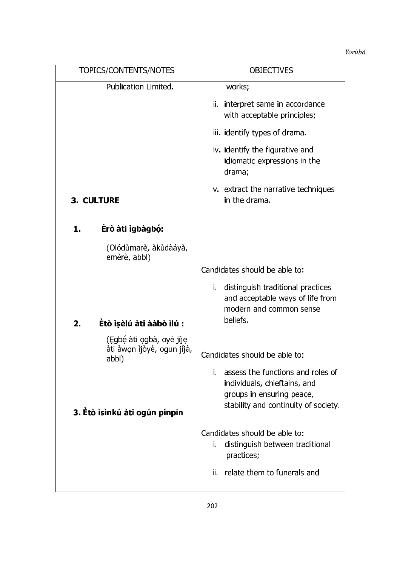| TOPICS/CONTENTS/NOTES                                           | <b>OBJECTIVES</b>                                                                                                                         |
|-----------------------------------------------------------------|-------------------------------------------------------------------------------------------------------------------------------------------|
| Publication Limited.                                            | works;                                                                                                                                    |
|                                                                 | ii. interpret same in accordance<br>with acceptable principles;                                                                           |
|                                                                 | iii. identify types of drama.                                                                                                             |
|                                                                 | iv. identify the figurative and<br>idiomatic expressions in the<br>drama;                                                                 |
| <b>3. CULTURE</b>                                               | v. extract the narrative techniques<br>in the drama.                                                                                      |
| Erò àti igbàgbó:<br>1.                                          |                                                                                                                                           |
| (Olódùmarè, àkùdàáyà,<br>emèrè, abbl)                           |                                                                                                                                           |
|                                                                 | Candidates should be able to:                                                                                                             |
| Êtò ìṣèlú àti ààbò ìlú :<br>2.                                  | i. distinguish traditional practices<br>and acceptable ways of life from<br>modern and common sense<br>beliefs.                           |
|                                                                 |                                                                                                                                           |
| (Egbé àti ogbà, oyè jíje<br>àti àwọn ìjòyè, ogun jíjà,<br>abbl) | Candidates should be able to:                                                                                                             |
| 3. Etò ìsìnkú àti ogún pínpín                                   | i. assess the functions and roles of<br>individuals, chieftains, and<br>groups in ensuring peace,<br>stability and continuity of society. |
|                                                                 | Candidates should be able to:<br>i.<br>distinguish between traditional<br>practices;                                                      |
|                                                                 | ii. relate them to funerals and                                                                                                           |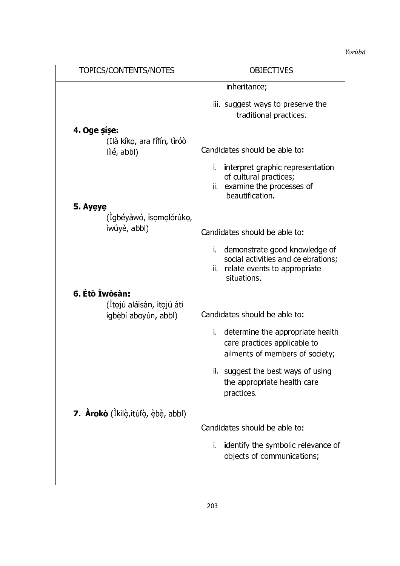| TOPICS/CONTENTS/NOTES                             | <b>OBJECTIVES</b>                                                                                                          |
|---------------------------------------------------|----------------------------------------------------------------------------------------------------------------------------|
|                                                   | inheritance;                                                                                                               |
|                                                   | iii. suggest ways to preserve the<br>traditional practices.                                                                |
| 4. Oge sise:                                      |                                                                                                                            |
| (Ilà kíko, ara fífín, tìróò<br>lílé, abbl)        | Candidates should be able to:                                                                                              |
|                                                   | i. interpret graphic representation<br>of cultural practices;<br>ii. examine the processes of<br>beautification.           |
| 5. Ayeye                                          |                                                                                                                            |
| (Igbéyàwó, isomolórúko,<br>ìwúyè, abbl)           | Candidates should be able to:                                                                                              |
|                                                   | i. demonstrate good knowledge of<br>social activities and celebrations;<br>ii. relate events to appropriate<br>situations. |
| 6. Etò İwòsàn:                                    |                                                                                                                            |
| (Ítojú aláisàn, itojú àti<br>ìgbèbí aboyún, abbl) | Candidates should be able to:                                                                                              |
|                                                   | i. determine the appropriate health<br>care practices applicable to<br>ailments of members of society;                     |
|                                                   | ii. suggest the best ways of using<br>the appropriate health care<br>practices.                                            |
| 7. Arokò (Ikilò, itúfò, èbè, abbl)                |                                                                                                                            |
|                                                   | Candidates should be able to:                                                                                              |
|                                                   | identify the symbolic relevance of<br>i.<br>objects of communications;                                                     |
|                                                   |                                                                                                                            |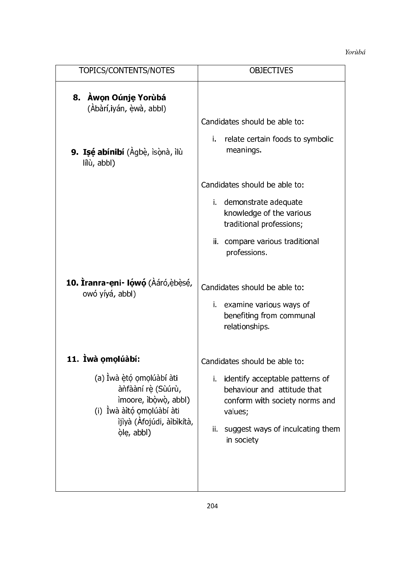| TOPICS/CONTENTS/NOTES                                                                                                                          | <b>OBJECTIVES</b>                                                                                                                                                       |
|------------------------------------------------------------------------------------------------------------------------------------------------|-------------------------------------------------------------------------------------------------------------------------------------------------------------------------|
| 8. Àwon Oúnje Yorùbá<br>(Àbàrí,iyán, èwà, abbl)                                                                                                |                                                                                                                                                                         |
|                                                                                                                                                | Candidates should be able to:                                                                                                                                           |
| 9. Isé abínibí (Agbè, ìsònà, ìlù<br>lílù, abbl)                                                                                                | relate certain foods to symbolic<br>i.<br>meanings                                                                                                                      |
|                                                                                                                                                | Candidates should be able to:                                                                                                                                           |
|                                                                                                                                                | i. demonstrate adequate<br>knowledge of the various<br>traditional professions;                                                                                         |
|                                                                                                                                                | ii. compare various traditional<br>professions.                                                                                                                         |
| 10. Iranra-eni- Iówó (Aáró, è bèsé,<br>owó yíyá, abbl)                                                                                         | Candidates should be able to:<br>i. examine various ways of<br>benefiting from communal<br>relationships.                                                               |
| 11. Ìwà omolúàbí:                                                                                                                              | Candidates should be able to:                                                                                                                                           |
| (a) İwà ètó omolúàbí àti<br>ànfààní rè (Sùúrù,<br>imoore, ibòwò, abbl)<br>(i) İwà àitó omolúabí ati<br>ijiyà (Àfojúdi, àibikítà,<br>ole, abbl) | i. identify acceptable patterns of<br>behaviour and attitude that<br>conform with society norms and<br>values;<br>ii.<br>suggest ways of inculcating them<br>in society |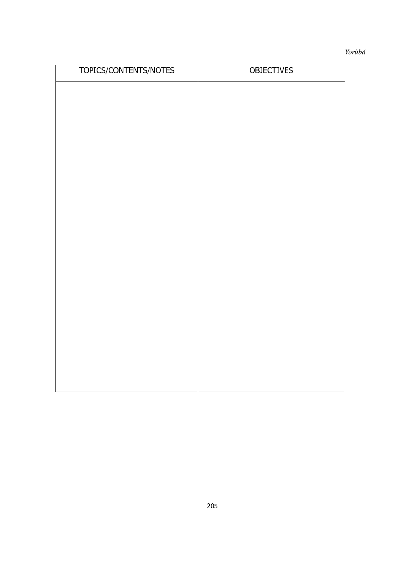| TOPICS/CONTENTS/NOTES | <b>OBJECTIVES</b> |
|-----------------------|-------------------|
|                       |                   |
|                       |                   |
|                       |                   |
|                       |                   |
|                       |                   |
|                       |                   |
|                       |                   |
|                       |                   |
|                       |                   |
|                       |                   |
|                       |                   |
|                       |                   |
|                       |                   |
|                       |                   |
|                       |                   |
|                       |                   |
|                       |                   |
|                       |                   |
|                       |                   |
|                       |                   |
|                       |                   |
|                       |                   |